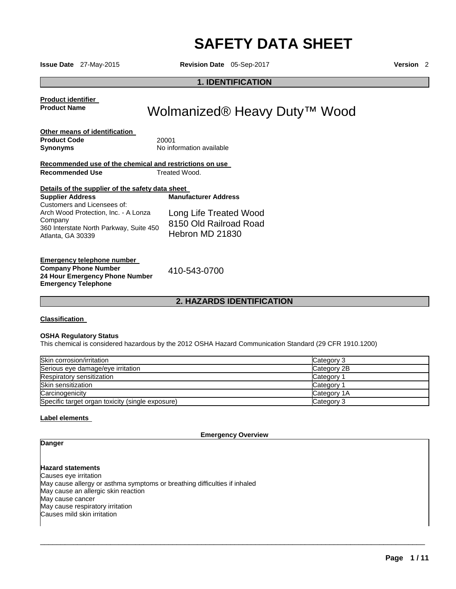# **SAFETY DATA SHEET**

**Issue Date** 27-May-2015 **Revision Date** 05-Sep-2017 **Version** 2

### **1. IDENTIFICATION**

**Product identifier Product Name** 

# Wolmanized® Heavy Duty<sup>™</sup> Wood

| Other means of identification |                          |
|-------------------------------|--------------------------|
| <b>Product Code</b>           | 20001                    |
| Synonyms                      | No information available |

#### **Recommended use of the chemical and restrictions on use Recommended Use Treated Wood.**

| <b>Supplier Address</b>                                      | <b>Manufacturer Address</b> |
|--------------------------------------------------------------|-----------------------------|
| Customers and Licensees of:                                  |                             |
| Arch Wood Protection, Inc. - A Lonza                         | Long Life Treated Wood      |
| Company                                                      | 8150 Old Railroad Road      |
| 360 Interstate North Parkway, Suite 450<br>Atlanta, GA 30339 | Hebron MD 21830             |

**Emergency telephone number Company Phone Number 24 Hour Emergency Phone Number Emergency Telephone** 

410-543-0700

#### **2. HAZARDS IDENTIFICATION**

#### **Classification**

#### **OSHA Regulatory Status**

This chemical is considered hazardous by the 2012 OSHA Hazard Communication Standard (29 CFR 1910.1200)

| Skin corrosion/irritation                        | Category 3            |
|--------------------------------------------------|-----------------------|
| Serious eye damage/eye irritation                | Category 2B           |
| Respiratory sensitization                        | Category <sup>2</sup> |
| Skin sensitization                               | Category              |
| Carcinogenicity                                  | Category 1A           |
| Specific target organ toxicity (single exposure) | Category 3            |

#### **Label elements**

**Emergency Overview** 

\_\_\_\_\_\_\_\_\_\_\_\_\_\_\_\_\_\_\_\_\_\_\_\_\_\_\_\_\_\_\_\_\_\_\_\_\_\_\_\_\_\_\_\_\_\_\_\_\_\_\_\_\_\_\_\_\_\_\_\_\_\_\_\_\_\_\_\_\_\_\_\_\_\_\_\_\_\_\_\_\_\_\_\_\_\_\_\_\_\_\_\_\_

## **Danger**

**Hazard statements** Causes eye irritation May cause allergy or asthma symptoms or breathing difficulties if inhaled May cause an allergic skin reaction May cause cancer May cause respiratory irritation Causes mild skin irritation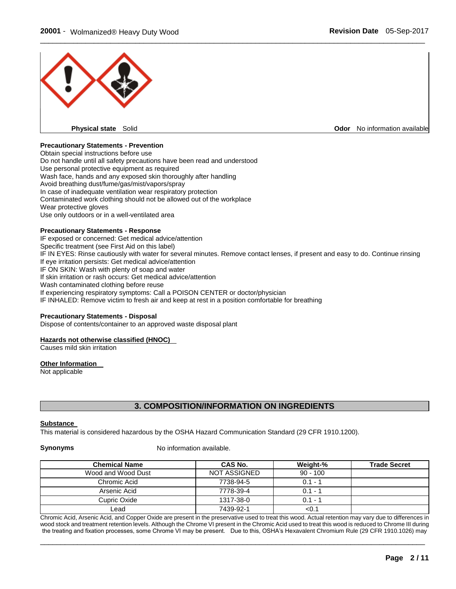

#### **Precautionary Statements - Prevention**

Obtain special instructions before use Do not handle until all safety precautions have been read and understood Use personal protective equipment as required Wash face, hands and any exposed skin thoroughly after handling Avoid breathing dust/fume/gas/mist/vapors/spray In case of inadequate ventilation wear respiratory protection Contaminated work clothing should not be allowed out of the workplace Wear protective gloves Use only outdoors or in a well-ventilated area

#### **Precautionary Statements - Response**

IF exposed or concerned: Get medical advice/attention Specific treatment (see First Aid on this label) IF IN EYES: Rinse cautiously with water for several minutes. Remove contact lenses, if present and easy to do. Continue rinsing If eye irritation persists: Get medical advice/attention IF ON SKIN: Wash with plenty of soap and water If skin irritation or rash occurs: Get medical advice/attention Wash contaminated clothing before reuse If experiencing respiratory symptoms: Call a POISON CENTER or doctor/physician IF INHALED: Remove victim to fresh air and keep at rest in a position comfortable for breathing

#### **Precautionary Statements - Disposal**

Dispose of contents/container to an approved waste disposal plant

#### **Hazards not otherwise classified (HNOC)**

Causes mild skin irritation

#### **Other Information**

Not applicable

#### **3. COMPOSITION/INFORMATION ON INGREDIENTS**

#### **Substance**

This material is considered hazardous by the OSHA Hazard Communication Standard (29 CFR 1910.1200).

**Synonyms** No information available.

| <b>Chemical Name</b> | CAS No.             | Weight-%   | <b>Trade Secret</b> |
|----------------------|---------------------|------------|---------------------|
| Wood and Wood Dust   | <b>NOT ASSIGNED</b> | $90 - 100$ |                     |
| Chromic Acid         | 7738-94-5           | $0.1 - 1$  |                     |
| Arsenic Acid         | 7778-39-4           | $0.1 - 1$  |                     |
| Cupric Oxide         | 1317-38-0           | $0.1 - 1$  |                     |
| Lead                 | 7439-92-1           | <0.1       |                     |

Chromic Acid, Arsenic Acid, and Copper Oxide are present in the preservative used to treat this wood. Actual retention may vary due to differences in wood stock and treatment retention levels. Although the Chrome VI present in the Chromic Acid used to treat this wood is reduced to Chrome III during the treating and fixation processes, some Chrome VI may be present. Due to this, OSHA's Hexavalent Chromium Rule (29 CFR 1910.1026) may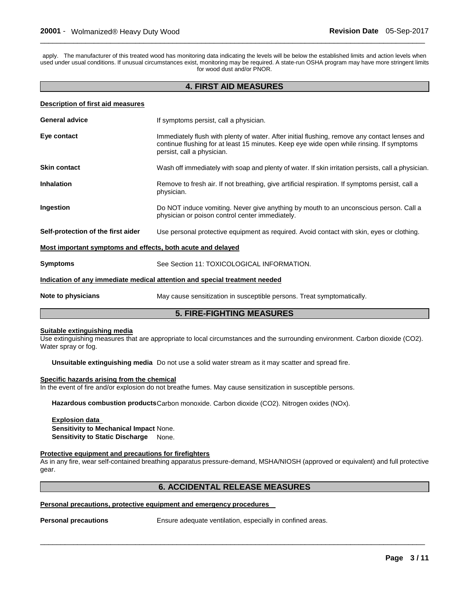apply. The manufacturer of this treated wood has monitoring data indicating the levels will be below the established limits and action levels when used under usual conditions. If unusual circumstances exist, monitoring may be required. A state-run OSHA program may have more stringent limits for wood dust and/or PNOR.

 $\Box$ 

#### **4. FIRST AID MEASURES**

#### **Description of first aid measures**

| <b>General advice</b>                                                      | If symptoms persist, call a physician.                                                                                                                                                                                  |  |  |
|----------------------------------------------------------------------------|-------------------------------------------------------------------------------------------------------------------------------------------------------------------------------------------------------------------------|--|--|
| Eye contact                                                                | Immediately flush with plenty of water. After initial flushing, remove any contact lenses and<br>continue flushing for at least 15 minutes. Keep eye wide open while rinsing. If symptoms<br>persist, call a physician. |  |  |
| <b>Skin contact</b>                                                        | Wash off immediately with soap and plenty of water. If skin irritation persists, call a physician.                                                                                                                      |  |  |
| <b>Inhalation</b>                                                          | Remove to fresh air. If not breathing, give artificial respiration. If symptoms persist, call a<br>physician.                                                                                                           |  |  |
| Ingestion                                                                  | Do NOT induce vomiting. Never give anything by mouth to an unconscious person. Call a<br>physician or poison control center immediately.                                                                                |  |  |
| Self-protection of the first aider                                         | Use personal protective equipment as required. Avoid contact with skin, eyes or clothing.                                                                                                                               |  |  |
| Most important symptoms and effects, both acute and delayed                |                                                                                                                                                                                                                         |  |  |
| <b>Symptoms</b>                                                            | See Section 11: TOXICOLOGICAL INFORMATION.                                                                                                                                                                              |  |  |
| Indication of any immediate medical attention and special treatment needed |                                                                                                                                                                                                                         |  |  |
| Note to physicians                                                         | May cause sensitization in susceptible persons. Treat symptomatically.                                                                                                                                                  |  |  |
| <b>5. FIRE-FIGHTING MEASURES</b>                                           |                                                                                                                                                                                                                         |  |  |

#### **Suitable extinguishing media**

Use extinguishing measures that are appropriate to local circumstances and the surrounding environment. Carbon dioxide (CO2). Water spray or fog.

**Unsuitable extinguishing media** Do not use a solid water stream as it may scatter and spread fire.

#### **Specific hazards arising from the chemical**

In the event of fire and/or explosion do not breathe fumes. May cause sensitization in susceptible persons.

**Hazardous combustion products** Carbon monoxide. Carbon dioxide (CO2). Nitrogen oxides (NOx).

#### **Explosion data**

**Sensitivity to Mechanical Impact** None. **Sensitivity to Static Discharge** None.

#### **Protective equipment and precautions for firefighters**

As in any fire, wear self-contained breathing apparatus pressure-demand, MSHA/NIOSH (approved or equivalent) and full protective gear.

#### **6. ACCIDENTAL RELEASE MEASURES**

\_\_\_\_\_\_\_\_\_\_\_\_\_\_\_\_\_\_\_\_\_\_\_\_\_\_\_\_\_\_\_\_\_\_\_\_\_\_\_\_\_\_\_\_\_\_\_\_\_\_\_\_\_\_\_\_\_\_\_\_\_\_\_\_\_\_\_\_\_\_\_\_\_\_\_\_\_\_\_\_\_\_\_\_\_\_\_\_\_\_\_\_\_

#### **Personal precautions, protective equipment and emergency procedures**

**Personal precautions Ensure adequate ventilation, especially in confined areas.**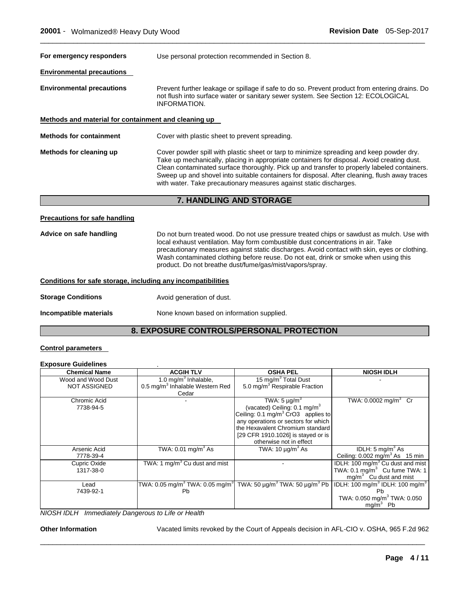| For emergency responders                             | Use personal protection recommended in Section 8.                                                                                                                                                                                                                                                                                                                                                                                                           |  |  |
|------------------------------------------------------|-------------------------------------------------------------------------------------------------------------------------------------------------------------------------------------------------------------------------------------------------------------------------------------------------------------------------------------------------------------------------------------------------------------------------------------------------------------|--|--|
| <b>Environmental precautions</b>                     |                                                                                                                                                                                                                                                                                                                                                                                                                                                             |  |  |
| <b>Environmental precautions</b>                     | Prevent further leakage or spillage if safe to do so. Prevent product from entering drains. Do<br>not flush into surface water or sanitary sewer system. See Section 12: ECOLOGICAL<br><b>INFORMATION.</b>                                                                                                                                                                                                                                                  |  |  |
| Methods and material for containment and cleaning up |                                                                                                                                                                                                                                                                                                                                                                                                                                                             |  |  |
| <b>Methods for containment</b>                       | Cover with plastic sheet to prevent spreading.                                                                                                                                                                                                                                                                                                                                                                                                              |  |  |
| Methods for cleaning up                              | Cover powder spill with plastic sheet or tarp to minimize spreading and keep powder dry.<br>Take up mechanically, placing in appropriate containers for disposal. Avoid creating dust.<br>Clean contaminated surface thoroughly. Pick up and transfer to properly labeled containers.<br>Sweep up and shovel into suitable containers for disposal. After cleaning, flush away traces<br>with water. Take precautionary measures against static discharges. |  |  |
|                                                      | <b>7. HANDLING AND STORAGE</b>                                                                                                                                                                                                                                                                                                                                                                                                                              |  |  |
| <b>Precautions for safe handling</b>                 |                                                                                                                                                                                                                                                                                                                                                                                                                                                             |  |  |

 $\Box$ 

#### **Advice on safe handling** Do not burn treated wood. Do not use pressure treated chips or sawdust as mulch. Use with local exhaust ventilation. May form combustible dust concentrations in air. Take precautionary measures against static discharges. Avoid contact with skin, eyes or clothing. Wash contaminated clothing before reuse. Do not eat, drink or smoke when using this product. Do not breathe dust/fume/gas/mist/vapors/spray.

#### **Conditions for safe storage, including any incompatibilities**

**Storage Conditions Avoid generation of dust.** 

#### **Incompatible materials None known based on information supplied.**

#### **8. EXPOSURE CONTROLS/PERSONAL PROTECTION**

#### **Control parameters**

### **Exposure Guidelines** .

| <b>Chemical Name</b> | <b>ACGIH TLV</b>                            | <b>OSHA PEL</b>                                                                                                | <b>NIOSH IDLH</b>                                       |
|----------------------|---------------------------------------------|----------------------------------------------------------------------------------------------------------------|---------------------------------------------------------|
| Wood and Wood Dust   | 1.0 mg/m <sup>3</sup> Inhalable,            | 15 mg/m <sup>3</sup> Total Dust                                                                                |                                                         |
| <b>NOT ASSIGNED</b>  | 0.5 mg/m <sup>3</sup> Inhalable Western Red | 5.0 mg/m <sup>3</sup> Respirable Fraction                                                                      |                                                         |
|                      | Cedar                                       |                                                                                                                |                                                         |
| Chromic Acid         |                                             | TWA: $5 \mu g/m^3$                                                                                             | TWA: $0.0002$ mg/m <sup>3</sup> Cr                      |
| 7738-94-5            |                                             | (vacated) Ceiling: $0.1 \text{ mg/m}^3$                                                                        |                                                         |
|                      |                                             | Ceiling: 0.1 mg/m <sup>3</sup> CrO3 applies to                                                                 |                                                         |
|                      |                                             | any operations or sectors for which                                                                            |                                                         |
|                      |                                             | the Hexavalent Chromium standard                                                                               |                                                         |
|                      |                                             | [29 CFR 1910.1026] is stayed or is                                                                             |                                                         |
|                      |                                             | otherwise not in effect                                                                                        |                                                         |
| Arsenic Acid         | TWA: $0.01 \text{ mg/m}^3$ As               | TWA: $10 \mu g/m^3$ As                                                                                         | IDLH: 5 mg/m <sup>3</sup> As                            |
| 7778-39-4            |                                             |                                                                                                                | Ceiling: $0.002$ mg/m <sup>3</sup> As 15 min            |
| Cupric Oxide         | TWA: 1 mg/m <sup>3</sup> Cu dust and mist   |                                                                                                                | IDLH: 100 mg/m <sup>3</sup> Cu dust and mist            |
| 1317-38-0            |                                             |                                                                                                                | TWA: $0.1 \text{ mg/m}^3$ Cu fume TWA: 1                |
|                      |                                             |                                                                                                                | $mg/m3$ Cu dust and mist                                |
| Lead                 |                                             | TWA: 0.05 mg/m <sup>3</sup> TWA: 0.05 mg/m <sup>3</sup> TWA: 50 µg/m <sup>3</sup> TWA: 50 µg/m <sup>3</sup> Pb | IDLH: 100 mg/m <sup>3</sup> IDLH: 100 mg/m <sup>3</sup> |
| 7439-92-1            | <b>Pb</b>                                   |                                                                                                                | Pb                                                      |
|                      |                                             |                                                                                                                | TWA: 0.050 mg/m <sup>3</sup> TWA: 0.050                 |
|                      |                                             |                                                                                                                | $mg/m3$ Pb                                              |

\_\_\_\_\_\_\_\_\_\_\_\_\_\_\_\_\_\_\_\_\_\_\_\_\_\_\_\_\_\_\_\_\_\_\_\_\_\_\_\_\_\_\_\_\_\_\_\_\_\_\_\_\_\_\_\_\_\_\_\_\_\_\_\_\_\_\_\_\_\_\_\_\_\_\_\_\_\_\_\_\_\_\_\_\_\_\_\_\_\_\_\_\_

*NIOSH IDLH Immediately Dangerous to Life or Health* 

**Other Information** Vacated limits revoked by the Court of Appeals decision in AFL-CIO v. OSHA, 965 F.2d 962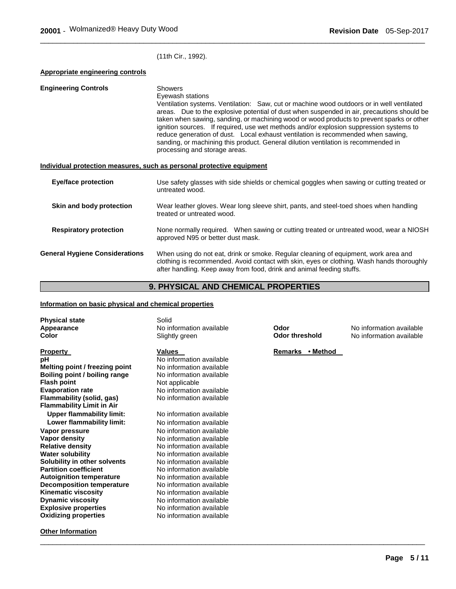(11th Cir., 1992).

#### **Appropriate engineering controls**

| <b>Engineering Controls</b>           | <b>Showers</b><br>Eyewash stations<br>Ventilation systems. Ventilation: Saw, cut or machine wood outdoors or in well ventilated<br>areas. Due to the explosive potential of dust when suspended in air, precautions should be<br>taken when sawing, sanding, or machining wood or wood products to prevent sparks or other<br>ignition sources. If required, use wet methods and/or explosion suppression systems to<br>reduce generation of dust. Local exhaust ventilation is recommended when sawing,<br>sanding, or machining this product. General dilution ventilation is recommended in<br>processing and storage areas. |  |
|---------------------------------------|---------------------------------------------------------------------------------------------------------------------------------------------------------------------------------------------------------------------------------------------------------------------------------------------------------------------------------------------------------------------------------------------------------------------------------------------------------------------------------------------------------------------------------------------------------------------------------------------------------------------------------|--|
|                                       | Individual protection measures, such as personal protective equipment                                                                                                                                                                                                                                                                                                                                                                                                                                                                                                                                                           |  |
| <b>Eye/face protection</b>            | Use safety glasses with side shields or chemical goggles when sawing or cutting treated or<br>untreated wood.                                                                                                                                                                                                                                                                                                                                                                                                                                                                                                                   |  |
| Skin and body protection              | Wear leather gloves. Wear long sleeve shirt, pants, and steel-toed shoes when handling<br>treated or untreated wood.                                                                                                                                                                                                                                                                                                                                                                                                                                                                                                            |  |
| <b>Respiratory protection</b>         | None normally required. When sawing or cutting treated or untreated wood, wear a NIOSH<br>approved N95 or better dust mask.                                                                                                                                                                                                                                                                                                                                                                                                                                                                                                     |  |
| <b>General Hygiene Considerations</b> | When using do not eat, drink or smoke. Regular cleaning of equipment, work area and<br>clothing is recommended. Avoid contact with skin, eyes or clothing. Wash hands thoroughly<br>after handling. Keep away from food, drink and animal feeding stuffs.                                                                                                                                                                                                                                                                                                                                                                       |  |

\_\_\_\_\_\_\_\_\_\_\_\_\_\_\_\_\_\_\_\_\_\_\_\_\_\_\_\_\_\_\_\_\_\_\_\_\_\_\_\_\_\_\_\_\_\_\_\_\_\_\_\_\_\_\_\_\_\_\_\_\_\_\_\_\_\_\_\_\_\_\_\_\_\_\_\_\_\_\_\_\_\_\_\_\_\_\_\_\_\_\_\_\_

# **9. PHYSICAL AND CHEMICAL PROPERTIES**

#### **Information on basic physical and chemical properties**

| <b>Physical state</b><br>Appearance<br>Color | Solid<br>No information available<br>Slightly green | Odor<br><b>Odor threshold</b> | No information available<br>No information available |
|----------------------------------------------|-----------------------------------------------------|-------------------------------|------------------------------------------------------|
| <b>Property</b><br>рH                        | <b>Values</b><br>No information available           | Remarks • Method              |                                                      |
| Melting point / freezing point               | No information available                            |                               |                                                      |
| Boiling point / boiling range                | No information available                            |                               |                                                      |
| <b>Flash point</b>                           | Not applicable                                      |                               |                                                      |
| <b>Evaporation rate</b>                      | No information available                            |                               |                                                      |
| Flammability (solid, gas)                    | No information available                            |                               |                                                      |
| <b>Flammability Limit in Air</b>             |                                                     |                               |                                                      |
| <b>Upper flammability limit:</b>             | No information available                            |                               |                                                      |
| Lower flammability limit:                    | No information available                            |                               |                                                      |
| Vapor pressure                               | No information available                            |                               |                                                      |
| Vapor density                                | No information available                            |                               |                                                      |
| <b>Relative density</b>                      | No information available                            |                               |                                                      |
| <b>Water solubility</b>                      | No information available                            |                               |                                                      |
| Solubility in other solvents                 | No information available                            |                               |                                                      |
| <b>Partition coefficient</b>                 | No information available                            |                               |                                                      |
| <b>Autoignition temperature</b>              | No information available                            |                               |                                                      |
| <b>Decomposition temperature</b>             | No information available                            |                               |                                                      |
| <b>Kinematic viscosity</b>                   | No information available                            |                               |                                                      |
| <b>Dynamic viscosity</b>                     | No information available                            |                               |                                                      |
| <b>Explosive properties</b>                  | No information available                            |                               |                                                      |
| <b>Oxidizing properties</b>                  | No information available                            |                               |                                                      |
| <b>Other Information</b>                     |                                                     |                               |                                                      |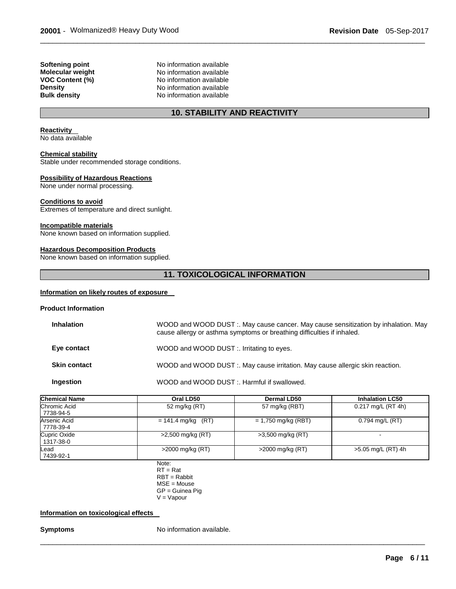**Softening point No information available Molecular weight <br>VOC Content (%) <br>No information available<br>Note information available No information available Density Density No information available**<br> **Bulk density No information available No information available** 

# **10. STABILITY AND REACTIVITY**

\_\_\_\_\_\_\_\_\_\_\_\_\_\_\_\_\_\_\_\_\_\_\_\_\_\_\_\_\_\_\_\_\_\_\_\_\_\_\_\_\_\_\_\_\_\_\_\_\_\_\_\_\_\_\_\_\_\_\_\_\_\_\_\_\_\_\_\_\_\_\_\_\_\_\_\_\_\_\_\_\_\_\_\_\_\_\_\_\_\_\_\_\_

#### **Reactivity**

No data available

#### **Chemical stability**

Stable under recommended storage conditions.

#### **Possibility of Hazardous Reactions**

None under normal processing.

#### **Conditions to avoid**

Extremes of temperature and direct sunlight.

#### **Incompatible materials**

None known based on information supplied.

#### **Hazardous Decomposition Products**

None known based on information supplied.

#### **11. TOXICOLOGICAL INFORMATION**

#### **Information on likely routes of exposure**

#### **Product Information**

| <b>Inhalation</b>   | WOOD and WOOD DUST :. May cause cancer. May cause sensitization by inhalation. May<br>cause allergy or asthma symptoms or breathing difficulties if inhaled. |
|---------------------|--------------------------------------------------------------------------------------------------------------------------------------------------------------|
| Eye contact         | WOOD and WOOD DUST :. Irritating to eyes.                                                                                                                    |
| <b>Skin contact</b> | WOOD and WOOD DUST :. May cause irritation. May cause allergic skin reaction.                                                                                |
| Ingestion           | WOOD and WOOD DUST :. Harmful if swallowed.                                                                                                                  |

| <b>Chemical Name</b>      | Oral LD50            | Dermal LD50           | <b>Inhalation LC50</b> |
|---------------------------|----------------------|-----------------------|------------------------|
| Chromic Acid<br>7738-94-5 | 52 mg/kg (RT)        | 57 mg/kg (RBT)        | 0.217 mg/L (RT 4h)     |
| Arsenic Acid<br>7778-39-4 | $= 141.4$ mg/kg (RT) | $= 1,750$ mg/kg (RBT) | $0.794$ mg/L (RT)      |
| Cupric Oxide<br>1317-38-0 | >2,500 mg/kg (RT)    | $>3,500$ mg/kg (RT)   | -                      |
| Lead<br>7439-92-1         | $>2000$ mg/kg (RT)   | $>$ 2000 mg/kg (RT)   | >5.05 mg/L (RT) 4h     |

\_\_\_\_\_\_\_\_\_\_\_\_\_\_\_\_\_\_\_\_\_\_\_\_\_\_\_\_\_\_\_\_\_\_\_\_\_\_\_\_\_\_\_\_\_\_\_\_\_\_\_\_\_\_\_\_\_\_\_\_\_\_\_\_\_\_\_\_\_\_\_\_\_\_\_\_\_\_\_\_\_\_\_\_\_\_\_\_\_\_\_\_\_

Note:  $RT = Rat$ RBT = Rabbit MSE = Mouse GP = Guinea Pig  $V = V$ apour

#### **Information on toxicological effects**

**Symptoms** No information available.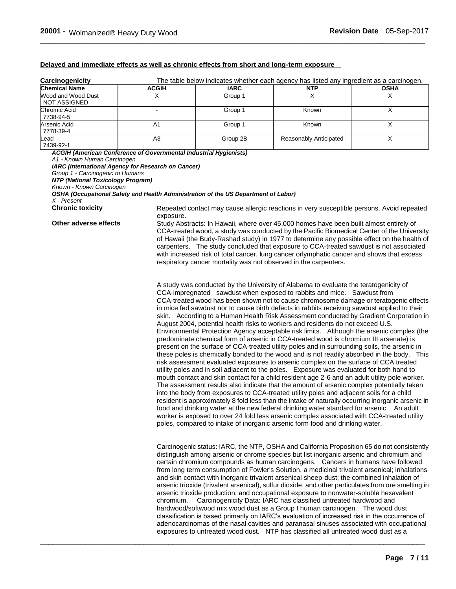#### **Delayed and immediate effects as well as chronic effects from short and long-term exposure**

| Carcinogenicity                      | The table below indicates whether each agency has listed any ingredient as a carcinogen. |             |                        |             |
|--------------------------------------|------------------------------------------------------------------------------------------|-------------|------------------------|-------------|
| <b>Chemical Name</b>                 | <b>ACGIH</b>                                                                             | <b>IARC</b> | <b>NTP</b>             | <b>OSHA</b> |
| Wood and Wood Dust<br>I NOT ASSIGNED |                                                                                          | Group 1     |                        |             |
| Chromic Acid<br>7738-94-5            | $\overline{\phantom{0}}$                                                                 | Group 1     | Known                  |             |
| Arsenic Acid<br>  7778-39-4          | A <sub>1</sub>                                                                           | Group 1     | Known                  |             |
| Lead<br>7439-92-1                    | A3                                                                                       | Group 2B    | Reasonably Anticipated |             |

*ACGIH (American Conference of Governmental Industrial Hygienists) A1 - Known Human Carcinogen IARC (International Agency for Research on Cancer) Group 1 - Carcinogenic to Humans NTP (National Toxicology Program) Known - Known Carcinogen OSHA (Occupational Safety and Health Administration of the US Department of Labor) X - Present*  **Chronic toxicity Repeated contact may cause allergic reactions in very susceptible persons. Avoid repeated** exposure. **Other adverse effects** Study Abstracts: In Hawaii, where over 45,000 homes have been built almost entirely of CCA-treated wood, a study was conducted by the Pacific Biomedical Center of the University of Hawaii (the Budy-Rashad study) in 1977 to determine any possible effect on the health of carpenters. The study concluded that exposure to CCA-treated sawdust is not associated with increased risk of total cancer, lung cancer orlymphatic cancer and shows that excess respiratory cancer mortality was not observed in the carpenters. A study was conducted by the University of Alabama to evaluate the teratogenicity of CCA-impregnated sawdust when exposed to rabbits and mice. Sawdust from CCA-treated wood has been shown not to cause chromosome damage or teratogenic effects in mice fed sawdust nor to cause birth defects in rabbits receiving sawdust applied to their skin. According to a Human Health Risk Assessment conducted by Gradient Corporation in August 2004, potential health risks to workers and residents do not exceed U.S. Environmental Protection Agency acceptable risk limits. Although the arsenic complex (the predominate chemical form of arsenic in CCA-treated wood is chromium III arsenate) is present on the surface of CCA-treated utility poles and in surrounding soils, the arsenic in these poles is chemically bonded to the wood and is not readily absorbed in the body. This risk assessment evaluated exposures to arsenic complex on the surface of CCA treated utility poles and in soil adjacent to the poles. Exposure was evaluated for both hand to mouth contact and skin contact for a child resident age 2-6 and an adult utility pole worker. The assessment results also indicate that the amount of arsenic complex potentially taken into the body from exposures to CCA-treated utility poles and adjacent soils for a child resident is approximately 8 fold less than the intake of naturally occurring inorganic arsenic in food and drinking water at the new federal drinking water standard for arsenic. An adult worker is exposed to over 24 fold less arsenic complex associated with CCA-treated utility poles, compared to intake of inorganic arsenic form food and drinking water. Carcinogenic status: IARC, the NTP, OSHA and California Proposition 65 do not consistently distinguish among arsenic or chrome species but list inorganic arsenic and chromium and certain chromium compounds as human carcinogens. Cancers in humans have followed from long term consumption of Fowler's Solution, a medicinal trivalent arsenical; inhalations and skin contact with inorganic trivalent arsenical sheep-dust; the combined inhalation of arsenic trioxide (trivalent arsenical), sulfur dioxide, and other particulates from ore smelting in

\_\_\_\_\_\_\_\_\_\_\_\_\_\_\_\_\_\_\_\_\_\_\_\_\_\_\_\_\_\_\_\_\_\_\_\_\_\_\_\_\_\_\_\_\_\_\_\_\_\_\_\_\_\_\_\_\_\_\_\_\_\_\_\_\_\_\_\_\_\_\_\_\_\_\_\_\_\_\_\_\_\_\_\_\_\_\_\_\_\_\_\_\_

arsenic trioxide production; and occupational exposure to nonwater-soluble hexavalent chromium. Carcinogenicity Data: IARC has classified untreated hardwood and hardwood/softwood mix wood dust as a Group I human carcinogen. The wood dust classification is based primarily on IARC's evaluation of increased risk in the occurrence of adenocarcinomas of the nasal cavities and paranasal sinuses associated with occupational exposures to untreated wood dust. NTP has classified all untreated wood dust as a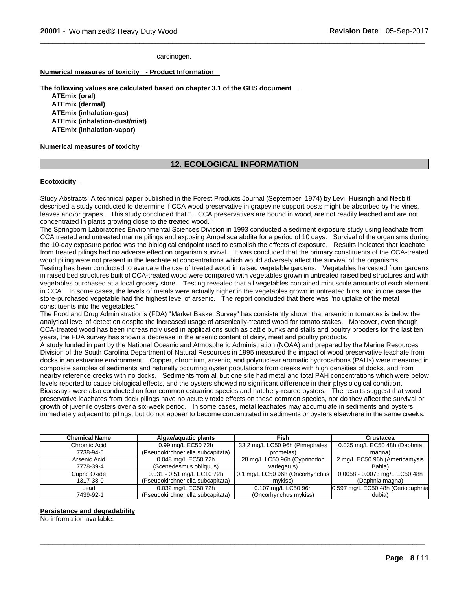carcinogen.

#### **Numerical measures of toxicity - Product Information**

**The following values are calculated based on chapter 3.1 of the GHS document** .

**ATEmix (oral) ATEmix (dermal) ATEmix (inhalation-gas) ATEmix (inhalation-dust/mist) ATEmix (inhalation-vapor)** 

#### **Numerical measures of toxicity**

#### **12. ECOLOGICAL INFORMATION**

\_\_\_\_\_\_\_\_\_\_\_\_\_\_\_\_\_\_\_\_\_\_\_\_\_\_\_\_\_\_\_\_\_\_\_\_\_\_\_\_\_\_\_\_\_\_\_\_\_\_\_\_\_\_\_\_\_\_\_\_\_\_\_\_\_\_\_\_\_\_\_\_\_\_\_\_\_\_\_\_\_\_\_\_\_\_\_\_\_\_\_\_\_

#### **Ecotoxicity**

Study Abstracts: A technical paper published in the Forest Products Journal (September, 1974) by Levi, Huisingh and Nesbitt described a study conducted to determine if CCA wood preservative in grapevine support posts might be absorbed by the vines, leaves and/or grapes. This study concluded that "... CCA preservatives are bound in wood, are not readily leached and are not concentrated in plants growing close to the treated wood."

The Springborn Laboratories Environmental Sciences Division in 1993 conducted a sediment exposure study using leachate from CCA treated and untreated marine pilings and exposing Ampelisca abdita for a period of 10 days. Survival of the organisms during the 10-day exposure period was the biological endpoint used to establish the effects of exposure. Results indicated that leachate from treated pilings had no adverse effect on organism survival. It was concluded that the primary constituents of the CCA-treated wood piling were not present in the leachate at concentrations which would adversely affect the survival of the organisms. Testing has been conducted to evaluate the use of treated wood in raised vegetable gardens. Vegetables harvested from gardens in raised bed structures built of CCA-treated wood were compared with vegetables grown in untreated raised bed structures and with vegetables purchased at a local grocery store. Testing revealed that all vegetables contained minuscule amounts of each element in CCA. In some cases, the levels of metals were actually higher in the vegetables grown in untreated bins, and in one case the store-purchased vegetable had the highest level of arsenic. The report concluded that there was "no uptake of the metal constituents into the vegetables."

The Food and Drug Administration's (FDA) "Market Basket Survey" has consistently shown that arsenic in tomatoes is below the analytical level of detection despite the increased usage of arsenically-treated wood for tomato stakes. Moreover, even though CCA-treated wood has been increasingly used in applications such as cattle bunks and stalls and poultry brooders for the last ten years, the FDA survey has shown a decrease in the arsenic content of dairy, meat and poultry products.

A study funded in part by the National Oceanic and Atmospheric Administration (NOAA) and prepared by the Marine Resources Division of the South Carolina Department of Natural Resources in 1995 measured the impact of wood preservative leachate from docks in an estuarine environment. Copper, chromium, arsenic, and polynuclear aromatic hydrocarbons (PAHs) were measured in composite samples of sediments and naturally occurring oyster populations from creeks with high densities of docks, and from nearby reference creeks with no docks. Sediments from all but one site had metal and total PAH concentrations which were below levels reported to cause biological effects, and the oysters showed no significant difference in their physiological condition. Bioassays were also conducted on four common estuarine species and hatchery-reared oysters. The results suggest that wood preservative leachates from dock pilings have no acutely toxic effects on these common species, nor do they affect the survival or growth of juvenile oysters over a six-week period. In some cases, metal leachates may accumulate in sediments and oysters immediately adjacent to pilings, but do not appear to become concentrated in sediments or oysters elsewhere in the same creeks.

| <b>Chemical Name</b> | Algae/aguatic plants              | Fish                            | Crustacea                         |
|----------------------|-----------------------------------|---------------------------------|-----------------------------------|
| Chromic Acid         | 0.99 mg/L EC50 72h                | 33.2 mg/L LC50 96h (Pimephales  | 0.035 mg/L EC50 48h (Daphnia      |
| 7738-94-5            | (Pseudokirchneriella subcapitata) | promelas)                       | magna)                            |
| Arsenic Acid         | 0.048 mg/L EC50 72h               | 28 mg/L LC50 96h (Cyprinodon    | 2 mg/L EC50 96h (Americamysis     |
| 7778-39-4            | (Scenedesmus obliquus)            | variegatus)                     | Bahia)                            |
| Cupric Oxide         | 0.031 - 0.51 mg/L EC10 72h        | 0.1 mg/L LC50 96h (Oncorhynchus | 0.0058 - 0.0073 mg/L EC50 48h     |
| 1317-38-0            | (Pseudokirchneriella subcapitata) | mvkiss)                         | (Daphnia magna)                   |
| Lead                 | 0.032 mg/L EC50 72h               | 0.107 mg/L LC50 96h             | 0.597 mg/L EC50 48h (Ceriodaphnia |
| 7439-92-1            | (Pseudokirchneriella subcapitata) | (Oncorhynchus mykiss)           | dubia)                            |

\_\_\_\_\_\_\_\_\_\_\_\_\_\_\_\_\_\_\_\_\_\_\_\_\_\_\_\_\_\_\_\_\_\_\_\_\_\_\_\_\_\_\_\_\_\_\_\_\_\_\_\_\_\_\_\_\_\_\_\_\_\_\_\_\_\_\_\_\_\_\_\_\_\_\_\_\_\_\_\_\_\_\_\_\_\_\_\_\_\_\_\_\_

#### **Persistence and degradability**

No information available.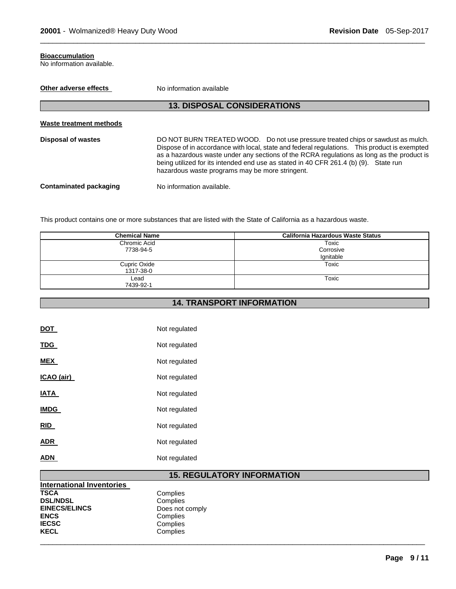#### **Bioaccumulation**

No information available.

| Other adverse effects     | No information available                                                                                                                                                                                                                                                                                                                                                                                                 |  |
|---------------------------|--------------------------------------------------------------------------------------------------------------------------------------------------------------------------------------------------------------------------------------------------------------------------------------------------------------------------------------------------------------------------------------------------------------------------|--|
|                           | <b>13. DISPOSAL CONSIDERATIONS</b>                                                                                                                                                                                                                                                                                                                                                                                       |  |
| Waste treatment methods   |                                                                                                                                                                                                                                                                                                                                                                                                                          |  |
| <b>Disposal of wastes</b> | DO NOT BURN TREATED WOOD. Do not use pressure treated chips or sawdust as mulch.<br>Dispose of in accordance with local, state and federal regulations. This product is exempted<br>as a hazardous waste under any sections of the RCRA regulations as long as the product is<br>being utilized for its intended end use as stated in 40 CFR 261.4 (b) (9). State run<br>hazardous waste programs may be more stringent. |  |
| Contaminated packaging    | No information available.                                                                                                                                                                                                                                                                                                                                                                                                |  |

\_\_\_\_\_\_\_\_\_\_\_\_\_\_\_\_\_\_\_\_\_\_\_\_\_\_\_\_\_\_\_\_\_\_\_\_\_\_\_\_\_\_\_\_\_\_\_\_\_\_\_\_\_\_\_\_\_\_\_\_\_\_\_\_\_\_\_\_\_\_\_\_\_\_\_\_\_\_\_\_\_\_\_\_\_\_\_\_\_\_\_\_\_

This product contains one or more substances that are listed with the State of California as a hazardous waste.

| <b>Chemical Name</b> | <b>California Hazardous Waste Status</b> |
|----------------------|------------------------------------------|
| Chromic Acid         | Toxic                                    |
| 7738-94-5            | Corrosive                                |
|                      | Ignitable                                |
| Cupric Oxide         | Toxic                                    |
| 1317-38-0            |                                          |
| Lead                 | Toxic                                    |
| 7439-92-1            |                                          |

# **14. TRANSPORT INFORMATION**

| DOT         | Not regulated |
|-------------|---------------|
| <b>TDG</b>  | Not regulated |
| <b>MEX</b>  | Not regulated |
| ICAO (air)  | Not regulated |
| IATA        | Not regulated |
| <b>IMDG</b> | Not regulated |
| <b>RID</b>  | Not regulated |
| <b>ADR</b>  | Not regulated |
| ADN         | Not regulated |

# **15. REGULATORY INFORMATION**

| <b>International Inventories</b> |                 |
|----------------------------------|-----------------|
| <b>TSCA</b>                      | Complies        |
| <b>DSL/NDSL</b>                  | Complies        |
| <b>EINECS/ELINCS</b>             | Does not comply |
| <b>ENCS</b>                      | Complies        |
| <b>IECSC</b>                     | Complies        |
| <b>KECL</b>                      | Complies        |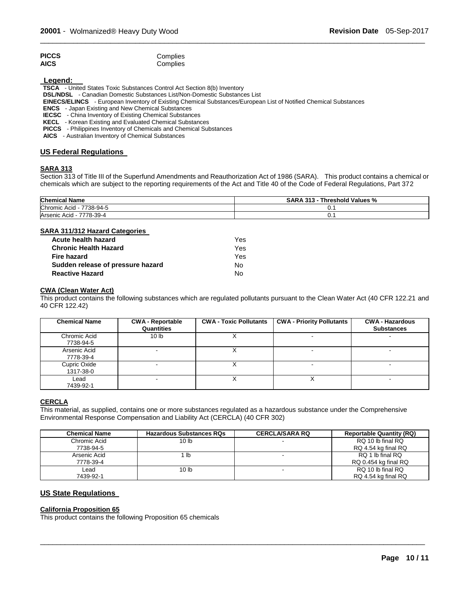| <b>PICCS</b> | Complies |
|--------------|----------|
| AICS         | Complies |

**Legend:** 

**TSCA** - United States Toxic Substances Control Act Section 8(b) Inventory

**DSL/NDSL** - Canadian Domestic Substances List/Non-Domestic Substances List

**EINECS/ELINCS** - European Inventory of Existing Chemical Substances/European List of Notified Chemical Substances

**ENCS** - Japan Existing and New Chemical Substances

**IECSC** - China Inventory of Existing Chemical Substances

**KECL** - Korean Existing and Evaluated Chemical Substances

**PICCS** - Philippines Inventory of Chemicals and Chemical Substances

**AICS** - Australian Inventory of Chemical Substances

#### **US Federal Regulations**

#### **SARA 313**

Section 313 of Title III of the Superfund Amendments and Reauthorization Act of 1986 (SARA). This product contains a chemical or chemicals which are subject to the reporting requirements of the Act and Title 40 of the Code of Federal Regulations, Part 372

\_\_\_\_\_\_\_\_\_\_\_\_\_\_\_\_\_\_\_\_\_\_\_\_\_\_\_\_\_\_\_\_\_\_\_\_\_\_\_\_\_\_\_\_\_\_\_\_\_\_\_\_\_\_\_\_\_\_\_\_\_\_\_\_\_\_\_\_\_\_\_\_\_\_\_\_\_\_\_\_\_\_\_\_\_\_\_\_\_\_\_\_\_

| <b>Chemical Name</b>           | <b>SARA 313</b><br>Threshold Values % |
|--------------------------------|---------------------------------------|
| Chromic Acid<br>7738-94-5<br>. | v.                                    |
| 7778-39-4<br>Arsenic Acid -    | v.                                    |

#### **SARA 311/312 Hazard Categories**

| Acute health hazard               | Yes. |
|-----------------------------------|------|
| <b>Chronic Health Hazard</b>      | Yes. |
| <b>Fire hazard</b>                | Yes. |
| Sudden release of pressure hazard | N٥   |
| <b>Reactive Hazard</b>            | N٥   |

#### **CWA (Clean Water Act)**

This product contains the following substances which are regulated pollutants pursuant to the Clean Water Act (40 CFR 122.21 and 40 CFR 122.42)

| <b>Chemical Name</b>      | <b>CWA - Reportable</b><br>Quantities | <b>CWA - Toxic Pollutants</b> | <b>CWA - Priority Pollutants</b> | <b>CWA - Hazardous</b><br><b>Substances</b> |
|---------------------------|---------------------------------------|-------------------------------|----------------------------------|---------------------------------------------|
| Chromic Acid<br>7738-94-5 | 10 <sub>lb</sub>                      |                               | $\overline{\phantom{0}}$         |                                             |
| Arsenic Acid<br>7778-39-4 | $\sim$                                |                               | $\overline{\phantom{0}}$         |                                             |
| Cupric Oxide<br>1317-38-0 |                                       |                               |                                  |                                             |
| Lead<br>7439-92-1         | -                                     |                               |                                  |                                             |

#### **CERCLA**

This material, as supplied, contains one or more substances regulated as a hazardous substance under the Comprehensive Environmental Response Compensation and Liability Act (CERCLA) (40 CFR 302)

| <b>Chemical Name</b> | <b>Hazardous Substances RQs</b> | <b>CERCLA/SARA RQ</b> | <b>Reportable Quantity (RQ)</b> |
|----------------------|---------------------------------|-----------------------|---------------------------------|
| Chromic Acid         | 10 lb                           |                       | RQ 10 lb final RQ               |
| 7738-94-5            |                                 |                       | RQ 4.54 kg final RQ             |
| Arsenic Acid         | lb                              |                       | RQ 1 lb final RQ                |
| 7778-39-4            |                                 |                       | RQ 0.454 kg final RQ            |
| ∟ead                 | 10 <sub>lb</sub>                |                       | RQ 10 lb final RQ               |
| 7439-92-1            |                                 |                       | RQ 4.54 kg final RQ             |

\_\_\_\_\_\_\_\_\_\_\_\_\_\_\_\_\_\_\_\_\_\_\_\_\_\_\_\_\_\_\_\_\_\_\_\_\_\_\_\_\_\_\_\_\_\_\_\_\_\_\_\_\_\_\_\_\_\_\_\_\_\_\_\_\_\_\_\_\_\_\_\_\_\_\_\_\_\_\_\_\_\_\_\_\_\_\_\_\_\_\_\_\_

#### **US State Regulations**

#### **California Proposition 65**

This product contains the following Proposition 65 chemicals